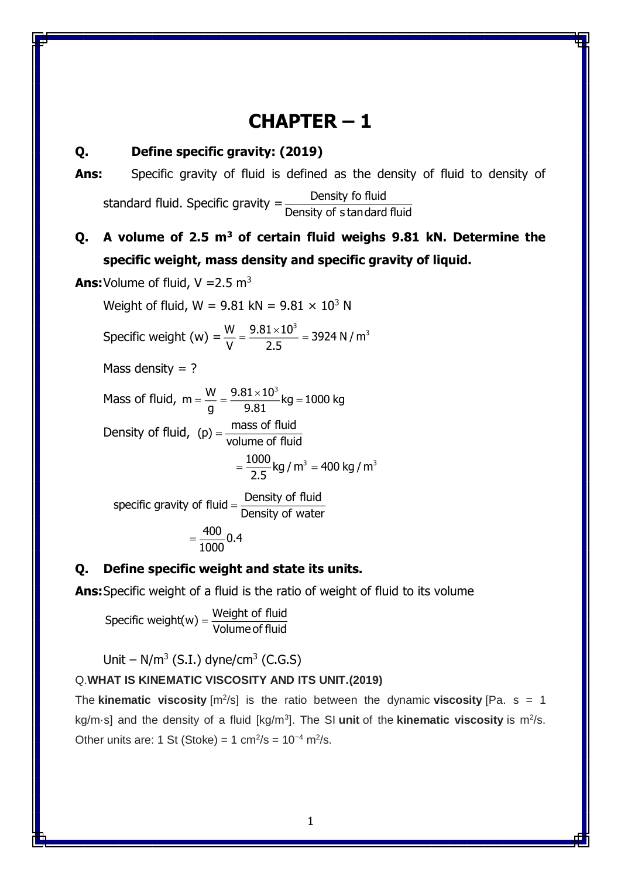# **CHAPTER – 1**

## **Q. Define specific gravity: (2019)**

**Ans:** Specific gravity of fluid is defined as the density of fluid to density of standard fluid. Specific gravity  $=\frac{2}{\sqrt{3}}$ Density of <sup>s</sup> tandard fluid

## **Q. A volume of 2.5 m<sup>3</sup> of certain fluid weighs 9.81 kN. Determine the specific weight, mass density and specific gravity of liquid.**

**Ans:** Volume of fluid,  $V = 2.5$  m<sup>3</sup>

Weight of fluid,  $W = 9.81$  kN =  $9.81 \times 10^3$  N

Specific weight (w) = 
$$
\frac{W}{V} = \frac{9.81 \times 10^3}{2.5} = 3924 \text{ N/m}^3
$$

Mass density  $= ?$ 

Mass of fluid,  $m = \frac{W}{m} = \frac{9.81 \times 10^3}{8.31 \times 10^3}$ kg = 1000 kg g 9.81  $=\frac{W}{W}=\frac{9.81\times10^{8} \text{ kg}}{9.81\times10^{8} \text{ kg}}$ Density of fluid,  $(p) = \frac{mass \text{ of fluid}}{volume \text{ of fluid}}$  $=\frac{1000}{2.5}$ kg / m $^3$  = 400 kg / m $^3$ 

specific gravity of fluid  $=\frac{\text{Density of fluid}}{\text{E}}$  $=$  Density of water  $\frac{400}{0.4}$ 

 $=\frac{}{1000}$ 

#### **Q. Define specific weight and state its units.**

**Ans:**Specific weight of a fluid is the ratio of weight of fluid to its volume

 $\small{\mathsf{Spec}}$ ific weight(w) =  $\frac{\small{\mathsf{Weight~of~fluid}}{\small{\mathsf{Volume~of~fluid}}}$ 

Unit –  $N/m^3$  (S.I.) dyne/cm<sup>3</sup> (C.G.S)

## Q.**WHAT IS KINEMATIC VISCOSITY AND ITS UNIT.(2019)**

The **kinematic viscosity**  $[m^2/s]$  is the ratio between the dynamic **viscosity** [Pa. s = 1 kg/m·s] and the density of a fluid [kg/m<sup>3</sup>]. The SI unit of the **kinematic viscosity** is m<sup>2</sup>/s. Other units are: 1 St (Stoke) = 1 cm<sup>2</sup>/s =  $10^{-4}$  m<sup>2</sup>/s.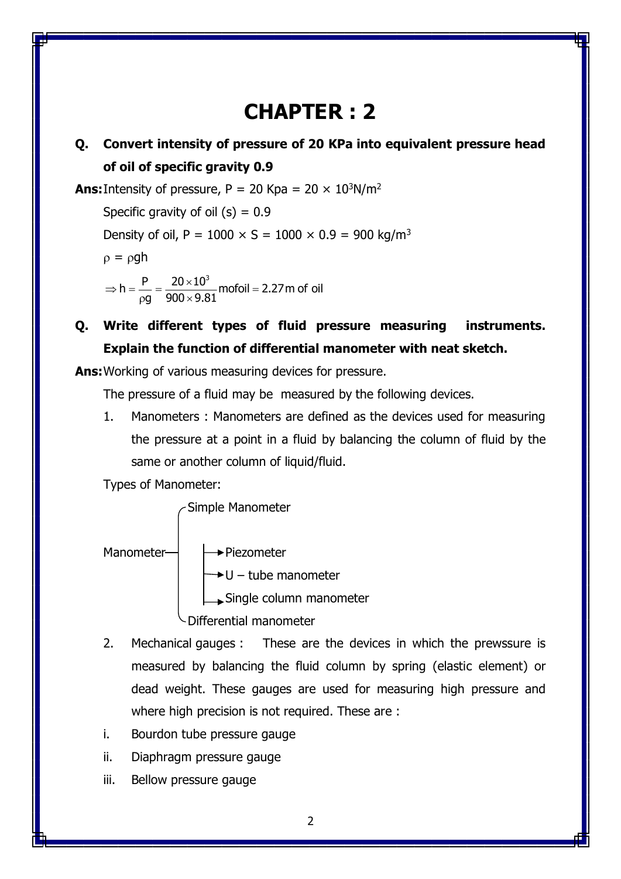# **CHAPTER : 2**

## **Q. Convert intensity of pressure of 20 KPa into equivalent pressure head of oil of specific gravity 0.9**

**Ans:** Intensity of pressure,  $P = 20$  Kpa =  $20 \times 10^3$ N/m<sup>2</sup> Specific gravity of oil  $(s) = 0.9$ Density of oil,  $P = 1000 \times S = 1000 \times 0.9 = 900 \text{ kg/m}^3$ 

 $\rho = \rho gh$ 

h =  $\frac{\mathsf{P}}{\mathsf{P}}$  =  $\frac{20\times10^3}{\mathsf{P}}$  mofoil = 2.27 m of oil g 900 $\times$ 9.81  $\Rightarrow$  h =  $\frac{P}{P}$  =  $\frac{20 \times 10^{8} \text{ m}}{P}$  mofoil =  $\mathsf{p}\mathsf{g}\quad \mathsf{y}\mathsf{u}\mathsf{v} \times$ 

**Q. Write different types of fluid pressure measuring instruments. Explain the function of differential manometer with neat sketch.**

**Ans:**Working of various measuring devices for pressure.

The pressure of a fluid may be measured by the following devices.

1. Manometers : Manometers are defined as the devices used for measuring the pressure at a point in a fluid by balancing the column of fluid by the same or another column of liquid/fluid.

Types of Manometer:

Simple Manometer

Manometer  $\rightarrow$  Piezometer  $\rightarrow$  U – tube manometer Single column manometer Differential manometer

- 2. Mechanical gauges : These are the devices in which the prewssure is measured by balancing the fluid column by spring (elastic element) or dead weight. These gauges are used for measuring high pressure and where high precision is not required. These are :
- i. Bourdon tube pressure gauge
- ii. Diaphragm pressure gauge
- iii. Bellow pressure gauge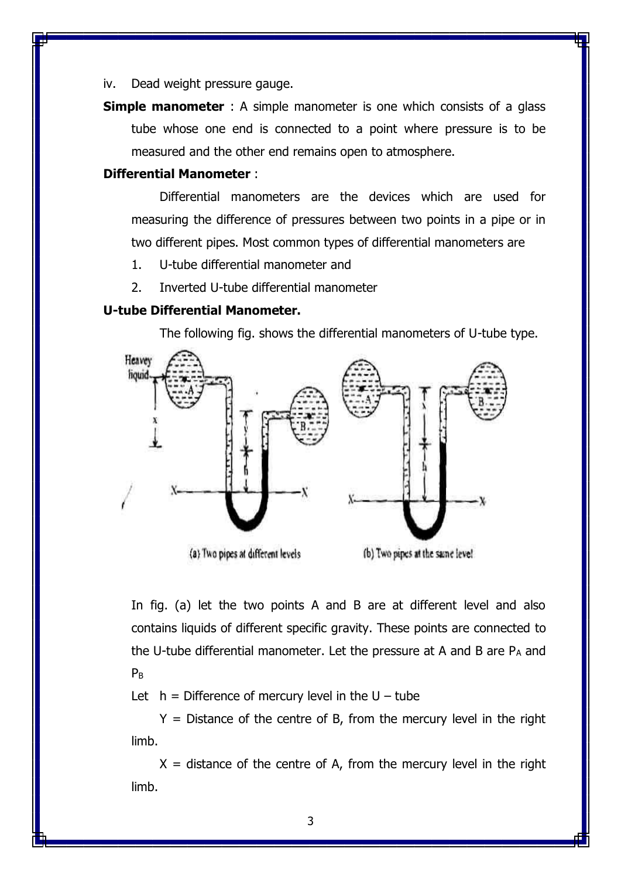iv. Dead weight pressure gauge.

**Simple manometer** : A simple manometer is one which consists of a glass tube whose one end is connected to a point where pressure is to be measured and the other end remains open to atmosphere.

#### **Differential Manometer** :

Differential manometers are the devices which are used for measuring the difference of pressures between two points in a pipe or in two different pipes. Most common types of differential manometers are

- 1. U-tube differential manometer and
- 2. Inverted U-tube differential manometer

## **U-tube Differential Manometer.**

The following fig. shows the differential manometers of U-tube type.



In fig. (a) let the two points A and B are at different level and also contains liquids of different specific gravity. These points are connected to the U-tube differential manometer. Let the pressure at A and B are  $P_A$  and  $P_B$ 

Let  $h =$  Difference of mercury level in the U – tube

 $Y =$  Distance of the centre of B, from the mercury level in the right limb.

 $X =$  distance of the centre of A, from the mercury level in the right limb.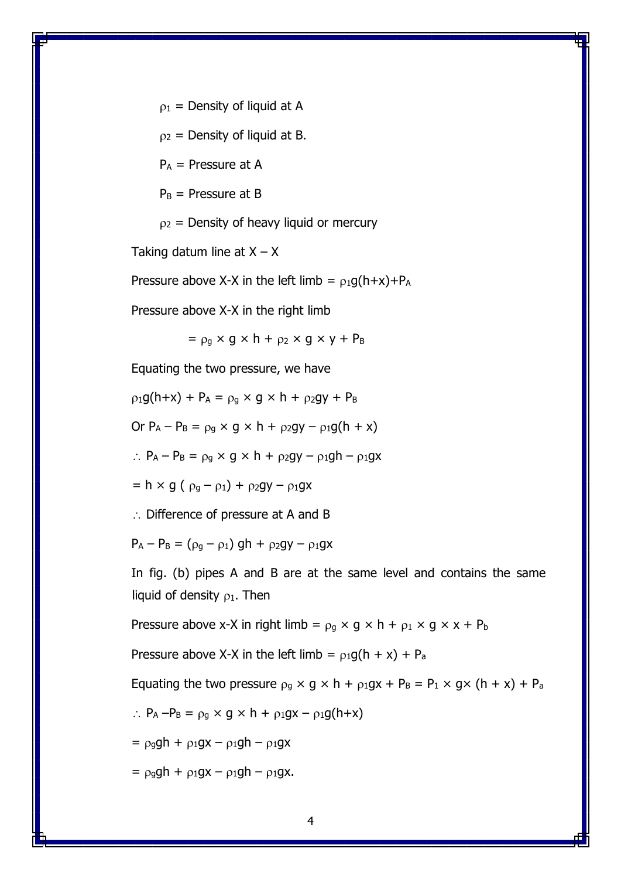$p_1$  = Density of liquid at A

 $p_2$  = Density of liquid at B.

 $P_A$  = Pressure at A

 $P_B$  = Pressure at B

 $p_2$  = Density of heavy liquid or mercury

Taking datum line at  $X - X$ 

Pressure above X-X in the left limb =  $\rho_1 q(h+x)+P_A$ 

Pressure above X-X in the right limb

 $= \rho_q \times g \times h + \rho_2 \times g \times y + P_B$ 

Equating the two pressure, we have

 $p_1g(h+x) + P_A = p_g \times g \times h + p_2gy + P_B$ 

Or  $P_A - P_B = \rho_g \times g \times h + \rho_2 gy - \rho_1 g(h + x)$ 

 $\therefore$  P<sub>A</sub> – P<sub>B</sub> =  $\rho_q \times g \times h + \rho_2 gy - \rho_1 gh - \rho_1 gx$ 

 $= h \times q (\rho_q - \rho_1) + \rho_2 qy - \rho_1 qx$ 

 $\therefore$  Difference of pressure at A and B

 $P_A - P_B = (\rho_q - \rho_1) gh + \rho_2 gy - \rho_1 gx$ 

In fig. (b) pipes A and B are at the same level and contains the same liquid of density  $\rho_1$ . Then

Pressure above x-X in right limb =  $\rho_q \times g \times h + \rho_1 \times g \times x + P_b$ 

Pressure above X-X in the left limb =  $\rho_1 g(h + x) + P_a$ 

Equating the two pressure  $\rho_q \times g \times h + \rho_1gx + P_B = P_1 \times g \times (h + x) + P_a$ 

$$
\therefore P_A - P_B = \rho_g \times g \times h + \rho_1 gx - \rho_1 g(h+x)
$$

 $= \rho_ggh + \rho_1gx - \rho_1gh - \rho_1gx$ 

 $= \rho_{q}qh + \rho_{1}qx - \rho_{1}qh - \rho_{1}qx.$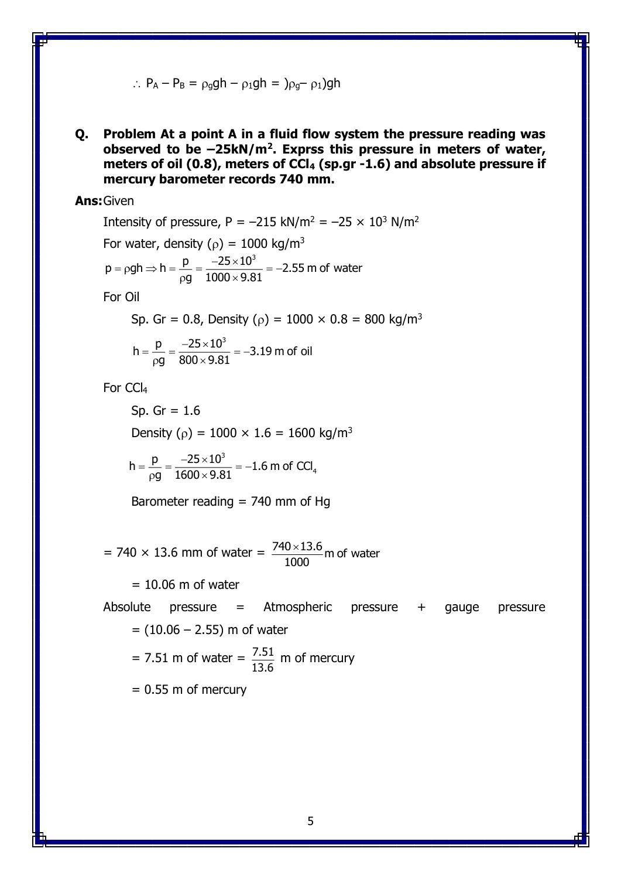$$
\therefore P_A - P_B = \rho_g g h - \rho_1 g h = \rho_g - \rho_1 g h
$$

**Q. Problem At a point A in a fluid flow system the pressure reading was observed to be –25kN/m<sup>2</sup> . Exprss this pressure in meters of water, meters of oil (0.8), meters of CCl<sup>4</sup> (sp.gr -1.6) and absolute pressure if mercury barometer records 740 mm.**

## **Ans:**Given

Intensity of pressure,  $P = -215$  kN/m<sup>2</sup> =  $-25 \times 10^3$  N/m<sup>2</sup> For water, density ( $\rho$ ) = 1000 kg/m<sup>3</sup>  $p = \rho gh \Rightarrow h = \frac{p}{1000 \cdot 0.01} = -2.55$  m of water g  $1000\times9.81$  $=$   $\rho gh \Rightarrow h = \frac{p}{r} = \frac{-25 \times 10^{7}}{1000 \times 0.01} =$ ρg τουυ $\times$ 

For Oil

Sp. Gr = 0.8, Density ( $\rho$ ) = 1000 × 0.8 = 800 kg/m<sup>3</sup>

$$
h = \frac{p}{\rho g} = \frac{-25 \times 10^3}{800 \times 9.81} = -3.19 \text{ m of oil}
$$

For CCl<sup>4</sup>

Sp. Gr =  $1.6$ Density ( $\rho$ ) = 1000 × 1.6 = 1600 kg/m<sup>3</sup> 3  $h = \frac{p}{n} = \frac{-25 \times 10^3}{1600 \times 10^3} = -1.6$  m of CCl<sub>4</sub>  $=\frac{p}{p}=\frac{-25\times10^{2}}{p}=$ 

$$
\rho\text{g} \quad 1600\!\times\!9.81
$$

Barometer reading  $= 740$  mm of Hg

= 740  $\times$  13.6 mm of water =  $\frac{740 \times 13.6}{1300}$  m of water 1000 ×

 $= 10.06$  m of water

Absolute pressure = Atmospheric pressure + gauge pressure  $= (10.06 - 2.55)$  m of water

 $= 7.51$  m of water  $= \frac{7.51}{1.25}$  $\frac{7.51}{13.6}$  m of mercury

 $= 0.55$  m of mercury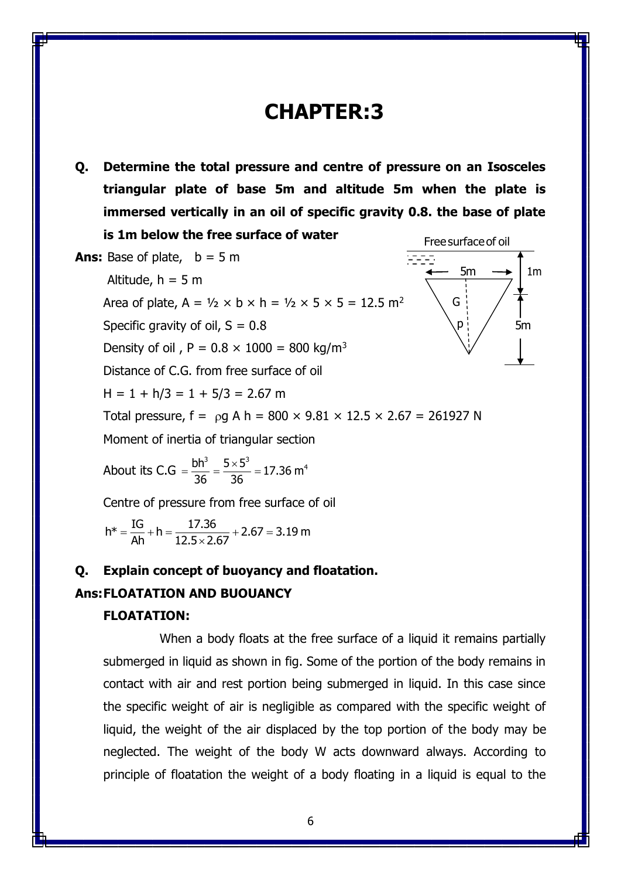# **CHAPTER:3**

**Q. Determine the total pressure and centre of pressure on an Isosceles triangular plate of base 5m and altitude 5m when the plate is immersed vertically in an oil of specific gravity 0.8. the base of plate is 1m below the free surface of water** Freesurfaceof oil

Ans: Base of plate, 
$$
b = 5 m
$$

\nAltitude,  $h = 5 m$ 

\nArea of plate,  $A = \frac{1}{2} \times b \times h = \frac{1}{2} \times 5 \times 5 = 12.5 \text{ m}^2$ 

\nSpecific gravity of oil,  $S = 0.8$ 

\nDensity of oil,  $P = 0.8 \times 1000 = 800 \text{ kg/m}^3$ 

\nDistance of C.G. from free surface of oil

\nH = 1 + h/3 = 1 + 5/3 = 2.67 m

\nTotal pressure,  $f = \rho g A h = 800 \times 9.81 \times 12.5 \times 2.67 = 261927 N$ 

\nMoment of inertia of triangular section

\nAbout its C.G =  $\frac{bh^3}{36} = \frac{5 \times 5^3}{36} = 17.36 m^4$ 

\nCentre of pressure from free surface of oil

**Q. Explain concept of buoyancy and floatation.**

h\* =  $\frac{\text{IG}}{\text{D} + \text{h}}$  =  $\frac{17.36}{\text{I}}$  + 2.67 = 3.19 m  $=\frac{1}{\text{Ah}} + \text{n} = \frac{1}{12.5 \times 2.67} + 2.67 =$ ×

### **Ans:FLOATATION AND BUOUANCY**

### **FLOATATION:**

When a body floats at the free surface of a liquid it remains partially submerged in liquid as shown in fig. Some of the portion of the body remains in contact with air and rest portion being submerged in liquid. In this case since the specific weight of air is negligible as compared with the specific weight of liquid, the weight of the air displaced by the top portion of the body may be neglected. The weight of the body W acts downward always. According to principle of floatation the weight of a body floating in a liquid is equal to the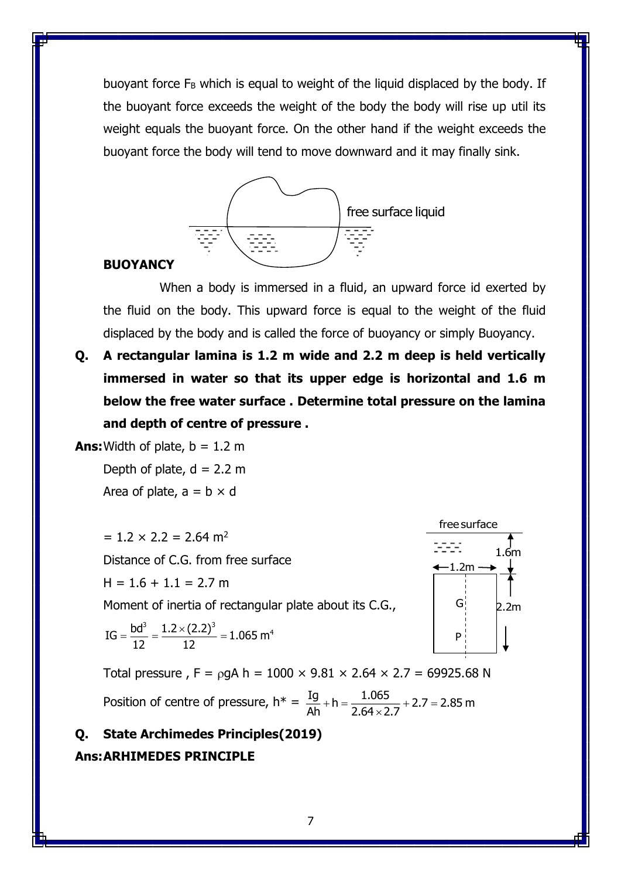buoyant force  $F_B$  which is equal to weight of the liquid displaced by the body. If the buoyant force exceeds the weight of the body the body will rise up util its weight equals the buoyant force. On the other hand if the weight exceeds the buoyant force the body will tend to move downward and it may finally sink.



#### **BUOYANCY**

When a body is immersed in a fluid, an upward force id exerted by the fluid on the body. This upward force is equal to the weight of the fluid displaced by the body and is called the force of buoyancy or simply Buoyancy.

**Q. A rectangular lamina is 1.2 m wide and 2.2 m deep is held vertically immersed in water so that its upper edge is horizontal and 1.6 m below the free water surface . Determine total pressure on the lamina and depth of centre of pressure .**

**Ans:** Width of plate,  $b = 1.2$  m

Depth of plate,  $d = 2.2$  m Area of plate,  $a = b \times d$ 

 $= 1.2 \times 2.2 = 2.64$  m<sup>2</sup> Distance of C.G. from free surface  $H = 1.6 + 1.1 = 2.7$  m L.2 × 2.2 = 2.64 m<sup>2</sup><br>
tance of C.G. from free surface<br>
= 1.6 + 1.1 = 2.7 m<br>
ment of inertia of rectangular plate about its C.G.,<br>
=  $\frac{bd^3}{2} = \frac{1.2 \times (2.2)^3}{2} = 1.065 \text{ m}^4$ 

Moment of inertia of rectangular plate about its C.G.,

$$
IG = \frac{bd^3}{12} = \frac{1.2 \times (2.2)^3}{12} = 1.065 \text{ m}^4
$$



Total pressure,  $F = \rho g A h = 1000 \times 9.81 \times 2.64 \times 2.7 = 69925.68 N$ Position of centre of pressure,  $h^* = \frac{Ig}{\gamma} + h = \frac{1.065}{2.013 \times 10^{-10}} + 2.7 = 2.85$  m  $\frac{5}{\text{Ah}}$  + n =  $\frac{}{2.64 \times 2.7}$  + 2.7 = ×

## **Q. State Archimedes Principles(2019) Ans:ARHIMEDES PRINCIPLE**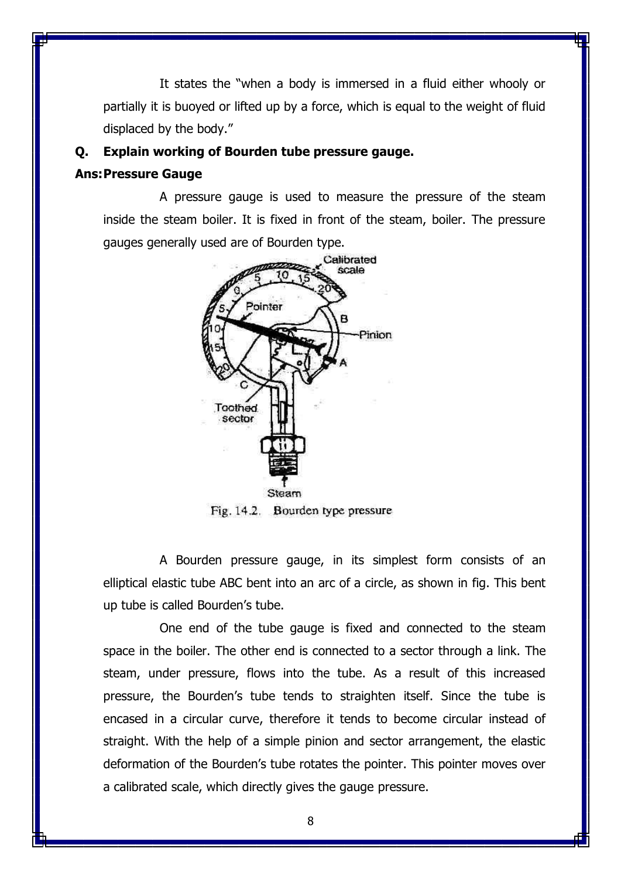It states the "when a body is immersed in a fluid either whooly or partially it is buoyed or lifted up by a force, which is equal to the weight of fluid displaced by the body."

## **Q. Explain working of Bourden tube pressure gauge.**

### **Ans:Pressure Gauge**

A pressure gauge is used to measure the pressure of the steam inside the steam boiler. It is fixed in front of the steam, boiler. The pressure gauges generally used are of Bourden type.



Fig. 14.2. Bourden type pressure

A Bourden pressure gauge, in its simplest form consists of an elliptical elastic tube ABC bent into an arc of a circle, as shown in fig. This bent up tube is called Bourden's tube.

One end of the tube gauge is fixed and connected to the steam space in the boiler. The other end is connected to a sector through a link. The steam, under pressure, flows into the tube. As a result of this increased pressure, the Bourden's tube tends to straighten itself. Since the tube is encased in a circular curve, therefore it tends to become circular instead of straight. With the help of a simple pinion and sector arrangement, the elastic deformation of the Bourden's tube rotates the pointer. This pointer moves over a calibrated scale, which directly gives the gauge pressure.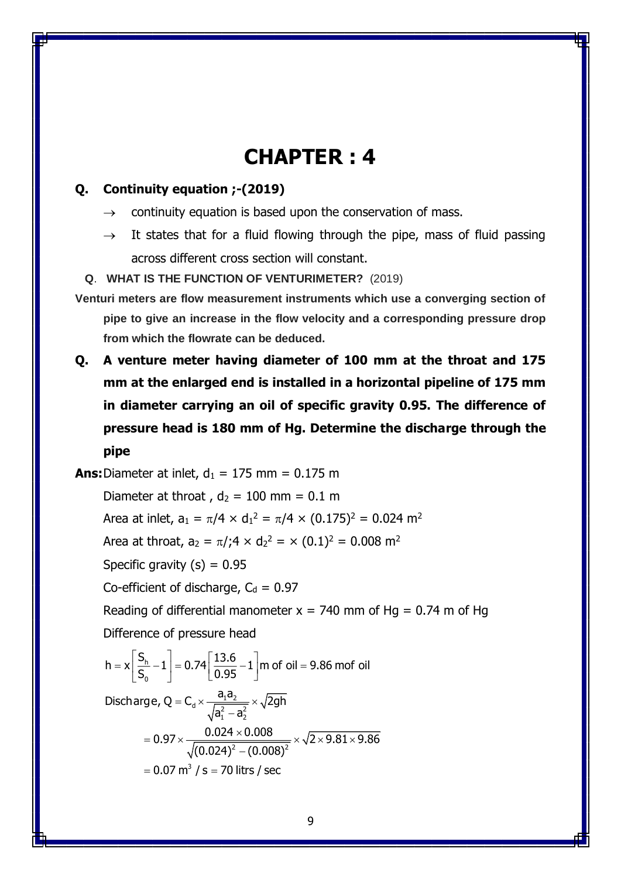# **CHAPTER : 4**

## **Q. Continuity equation ;-(2019)**

- $\rightarrow$  continuity equation is based upon the conservation of mass.
- $\rightarrow$  It states that for a fluid flowing through the pipe, mass of fluid passing across different cross section will constant.

#### **Q**. **WHAT IS THE FUNCTION OF VENTURIMETER?** (2019)

- **Venturi meters are flow measurement instruments which use a converging section of pipe to give an increase in the flow velocity and a corresponding pressure drop from which the flowrate can be deduced.**
- **Q. A venture meter having diameter of 100 mm at the throat and 175 mm at the enlarged end is installed in a horizontal pipeline of 175 mm in diameter carrying an oil of specific gravity 0.95. The difference of pressure head is 180 mm of Hg. Determine the discharge through the pipe**

**Ans:** Diameter at inlet,  $d_1 = 175$  mm = 0.175 m

Diameter at throat ,  $d_2 = 100$  mm = 0.1 m Area at inlet, a $_{1} = \pi/4 \times d_{1}^{2} = \pi/4 \times (0.175)^{2} = 0.024$  m<sup>2</sup>

Area at throat,  $a_2 = \pi/74 \times d_2^2 = \times (0.1)^2 = 0.008$  m<sup>2</sup>

Specific gravity  $(s) = 0.95$ 

Co-efficient of discharge,  $C_d = 0.97$ 

Reading of differential manometer  $x = 740$  mm of Hg = 0.74 m of Hg

Difference of pressure head

$$
h = x \left[ \frac{S_h}{S_0} - 1 \right] = 0.74 \left[ \frac{13.6}{0.95} - 1 \right] \text{m of oil} = 9.86 \text{ mof oil}
$$
  
Discharge,  $Q = C_d \times \frac{a_1 a_2}{\sqrt{a_1^2 - a_2^2}} \times \sqrt{2gh}$   

$$
= 0.97 \times \frac{0.024 \times 0.008}{\sqrt{(0.024)^2 - (0.008)^2}} \times \sqrt{2 \times 9.81 \times 9.86}
$$
  

$$
= 0.07 \text{ m}^3 / \text{s} = 70 \text{ litres / sec}
$$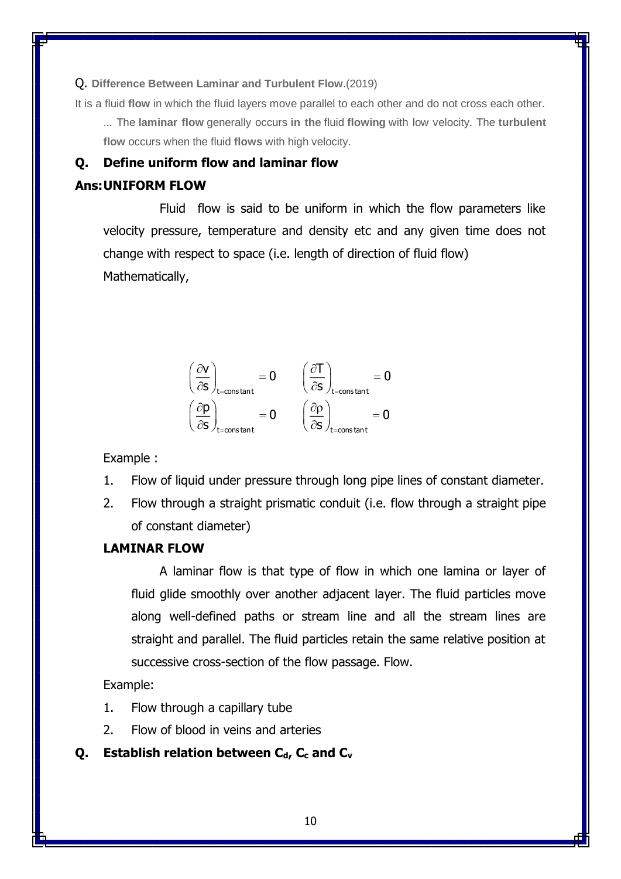Q. **Difference Between Laminar and Turbulent Flow**.(2019)

It is a fluid **flow** in which the fluid layers move parallel to each other and do not cross each other.

... The **laminar flow** generally occurs **in the** fluid **flowing** with low velocity. The **turbulent flow** occurs when the fluid **flows** with high velocity.

## **Q. Define uniform flow and laminar flow**

## **Ans:UNIFORM FLOW**

Fluid flow is said to be uniform in which the flow parameters like velocity pressure, temperature and density etc and any given time does not change with respect to space (i.e. length of direction of fluid flow) Mathematically,



Example :

- 1. Flow of liquid under pressure through long pipe lines of constant diameter.
- 2. Flow through a straight prismatic conduit (i.e. flow through a straight pipe of constant diameter)

## **LAMINAR FLOW**

A laminar flow is that type of flow in which one lamina or layer of fluid glide smoothly over another adjacent layer. The fluid particles move along well-defined paths or stream line and all the stream lines are straight and parallel. The fluid particles retain the same relative position at successive cross-section of the flow passage. Flow.

Example:

- 1. Flow through a capillary tube
- 2. Flow of blood in veins and arteries

## **Q. Establish relation between Cd, C<sup>c</sup> and C<sup>v</sup>**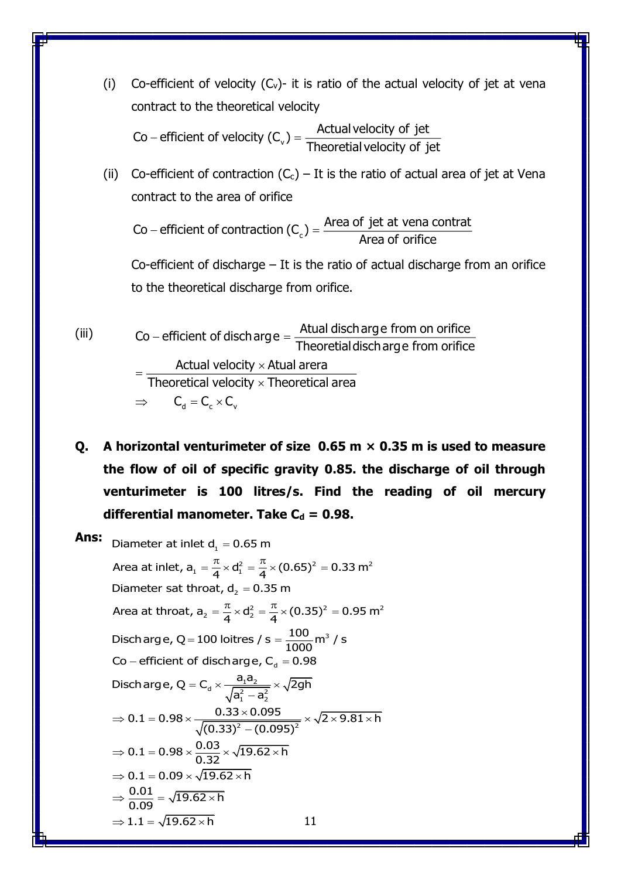(i) Co-efficient of velocity  $(C_v)$ - it is ratio of the actual velocity of jet at vena contract to the theoretical velocity

Co – efficient of velocity (C<sub>v</sub>) =  $\frac{\text{Actual velocity of jet}}{\text{The cost of disk of}}$ - emclent or velocity  $(C_v)$  =  $\frac{1}{\pi}$  Theoretial velocity of jet

(ii) Co-efficient of contraction  $(C_c)$  – It is the ratio of actual area of jet at Vena contract to the area of orifice

Co – efficient of contraction (C<sub>c</sub>) =  $\frac{\text{Area of jet at vena contract}}{\text{Area of orifice}}$ 

Co-efficient of discharge – It is the ratio of actual discharge from an orifice to the theoretical discharge from orifice.

- (iii)  $\Rightarrow$   $C_{d} = C_{c} \times C_{v}$ Co – efficient of discharge  $=$   $\frac{\text{Atual}}{\text{Atail}}$  discharge from on orifice  $-$  emclent or discribing  $e = \frac{1}{\pi}$  Theoretial discharge from orifice Actual velocity  $\times$  Atual arera Theoretical velocity  $\times$  Theoretical area
- **Q. A horizontal venturimeter of size 0.65 m × 0.35 m is used to measure the flow of oil of specific gravity 0.85. the discharge of oil through venturimeter is 100 litres/s. Find the reading of oil mercury**

**differential manometer. Take C<sub>d</sub> = 0.98.**  
\n**Ans:** Diameter at inlet d<sub>1</sub> = 0.65 m  
\nArea at inlet, a<sub>1</sub> = 
$$
\frac{\pi}{4} \times d_1^2 = \frac{\pi}{4} \times (0.65)^2 = 0.33 \text{ m}^2
$$
  
\nDiameter sat throat, d<sub>2</sub> = 0.35 m  
\nArea at throat, a<sub>2</sub> =  $\frac{\pi}{4} \times d_2^2 = \frac{\pi}{4} \times (0.35)^2 = 0.95 \text{ m}^2$   
\nDisclarge, Q = 100 loitres / s =  $\frac{100}{1000} \text{ m}^3$  / s  
\nCo – efficient of discharge, C<sub>d</sub> = 0.98  
\nDischarge, Q = C<sub>d</sub> ×  $\frac{a_1 a_2}{\sqrt{a_1^2 - a_2^2}} \times \sqrt{2gh}$   
\n⇒ 0.1 = 0.98 ×  $\frac{0.33 \times 0.095}{\sqrt{(0.33)^2 - (0.095)^2}} \times \sqrt{2 \times 9.81 \times \text{ h}}$   
\n⇒ 0.1 = 0.98 ×  $\frac{0.03}{0.32} \times \sqrt{19.62 \times \text{ h}}$   
\n⇒ 0.1 = 0.09 ×  $\sqrt{19.62 \times \text{ h}}$   
\n⇒  $\frac{0.01}{0.09} = \sqrt{19.62 \times \text{ h}}$   
\n⇒ 1.1 =  $\sqrt{19.62 \times \text{ h}}$   
\n11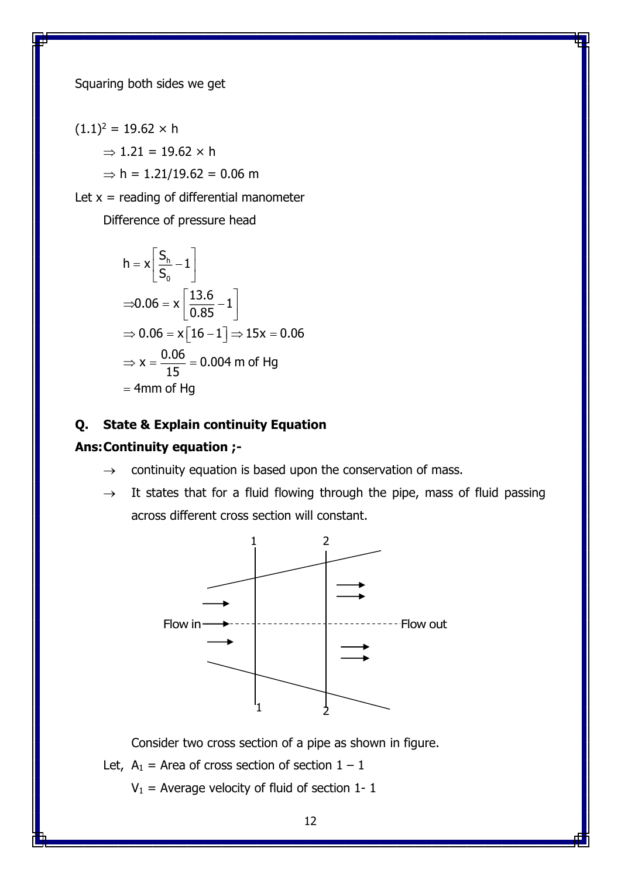Squaring both sides we get

 $(1.1)^2 = 19.62 \times h$ 

 $\Rightarrow$  1.21 = 19.62  $\times$  h

 $\Rightarrow$  h = 1.21/19.62 = 0.06 m

Let  $x =$  reading of differential manometer

Difference of pressure head

$$
h = x \left[ \frac{S_h}{S_0} - 1 \right]
$$
  
\n
$$
\Rightarrow 0.06 = x \left[ \frac{13.6}{0.85} - 1 \right]
$$
  
\n
$$
\Rightarrow 0.06 = x \left[ 16 - 1 \right] \Rightarrow 15x = 0.06
$$
  
\n
$$
\Rightarrow x = \frac{0.06}{15} = 0.004 \text{ m of Hg}
$$
  
\n= 4mm of Hg

## **Q. State & Explain continuity Equation**

## **Ans:Continuity equation ;-**

- $\rightarrow$  continuity equation is based upon the conservation of mass.
- $\rightarrow$  It states that for a fluid flowing through the pipe, mass of fluid passing across different cross section will constant.



Consider two cross section of a pipe as shown in figure.

- Let,  $A_1$  = Area of cross section of section  $1 1$ 
	- $V_1$  = Average velocity of fluid of section 1- 1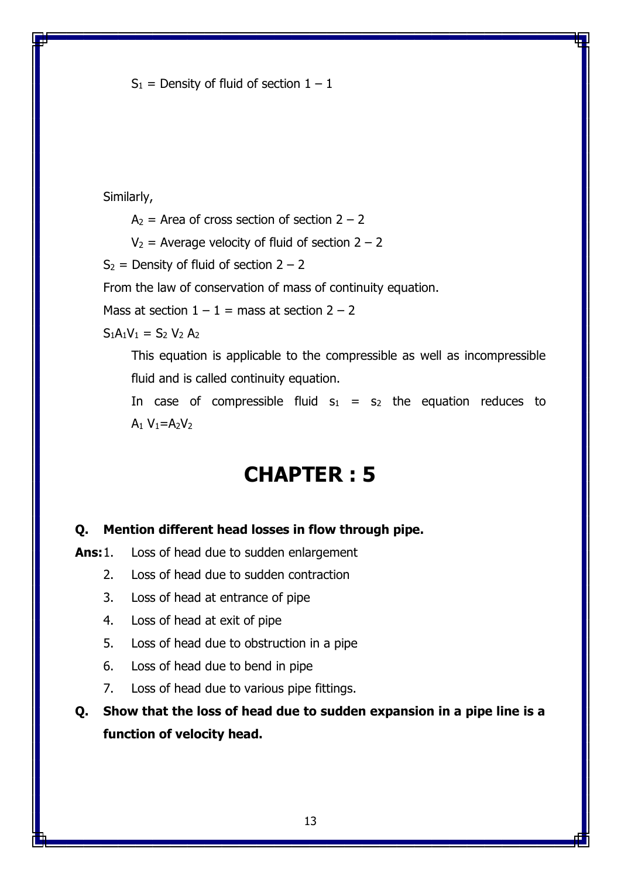$S_1$  = Density of fluid of section  $1 - 1$ 

Similarly,

 $A_2$  = Area of cross section of section  $2 - 2$ 

 $V_2$  = Average velocity of fluid of section 2 – 2

 $S_2$  = Density of fluid of section 2 – 2

From the law of conservation of mass of continuity equation.

Mass at section  $1 - 1 =$  mass at section  $2 - 2$ 

 $S_1A_1V_1 = S_2 V_2 A_2$ 

This equation is applicable to the compressible as well as incompressible fluid and is called continuity equation.

In case of compressible fluid  $s_1 = s_2$  the equation reduces to  $A_1 V_1 = A_2 V_2$ 

# **CHAPTER : 5**

### **Q. Mention different head losses in flow through pipe.**

**Ans:**1. Loss of head due to sudden enlargement

- 2. Loss of head due to sudden contraction
- 3. Loss of head at entrance of pipe
- 4. Loss of head at exit of pipe
- 5. Loss of head due to obstruction in a pipe
- 6. Loss of head due to bend in pipe
- 7. Loss of head due to various pipe fittings.

**Q. Show that the loss of head due to sudden expansion in a pipe line is a function of velocity head.**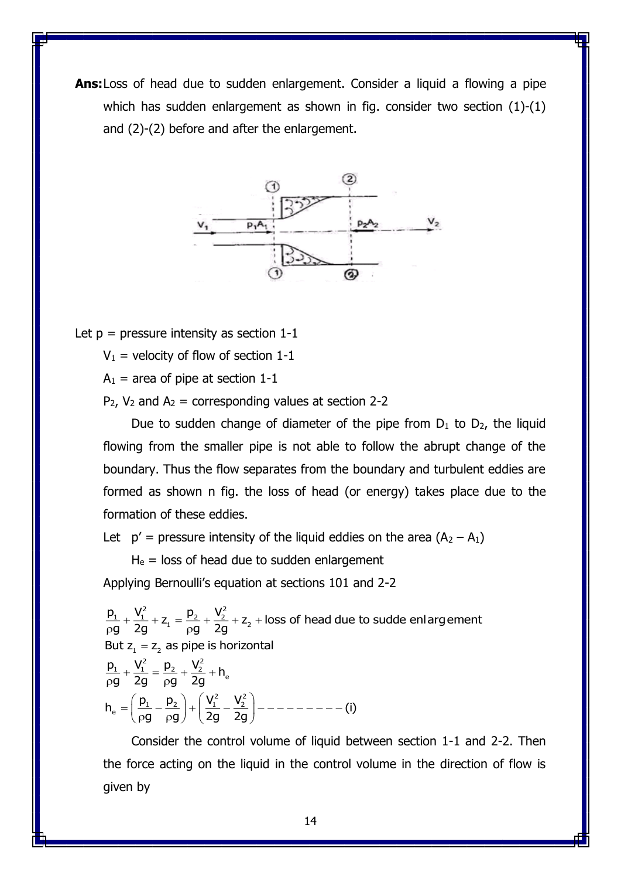**Ans:**Loss of head due to sudden enlargement. Consider a liquid a flowing a pipe which has sudden enlargement as shown in fig. consider two section (1)-(1) and (2)-(2) before and after the enlargement.



Let  $p = pressure$  intensity as section 1-1

 $V_1$  = velocity of flow of section 1-1

 $A_1$  = area of pipe at section 1-1

 $P_2$ ,  $V_2$  and  $A_2$  = corresponding values at section 2-2

Due to sudden change of diameter of the pipe from  $D_1$  to  $D_2$ , the liquid flowing from the smaller pipe is not able to follow the abrupt change of the boundary. Thus the flow separates from the boundary and turbulent eddies are formed as shown n fig. the loss of head (or energy) takes place due to the formation of these eddies.

Let  $p' =$  pressure intensity of the liquid eddies on the area  $(A_2 - A_1)$ 

 $H<sub>e</sub>$  = loss of head due to sudden enlargement Applying Bernoulli's equation at sections 101 and 2-2

 $\frac{p_1}{p_2} + \frac{V_1^2}{2} + z_1 = \frac{p_2}{p_1} + \frac{V_2^2}{2} + z_2 + \text{loss of head due to sudden enlargement}$ But  $\mathsf{z}_\mathsf{1} = \mathsf{z}_\mathsf{2}$  as pipe is horizontal  $\frac{p_1}{2} + \frac{V_1^2}{2} = \frac{p_2}{2} + \frac{V_2^2}{2} + h_e$  $h_e = \left(\frac{p_1}{q}-\frac{p_2}{q}\right)+\left(\frac{V_1^2}{q}-\frac{V_2^2}{q}-\frac{p_1}{q}-\cdots-(-1)\right)$  $\frac{1}{9} + \frac{1}{2g} + Z_1 = \frac{12}{\rho g} + \frac{2}{2g} + Z_2 +$  $\frac{1}{g} + \frac{1}{2g} = \frac{12}{\rho g} + \frac{2}{2g} +$ g <sub>p</sub>g) (2g 2g p**g zg** p p**g zg** p  $(p_1 p_2)$   $\left(V_1^2 V_2^2\right)$  $=\left(\frac{P_1}{\rho g} - \frac{P_2}{\rho g}\right) + \left(\frac{I_1}{2g} - \frac{I_2}{2g}\right) - \cdots - \cdots -$ 

Consider the control volume of liquid between section 1-1 and 2-2. Then the force acting on the liquid in the control volume in the direction of flow is given by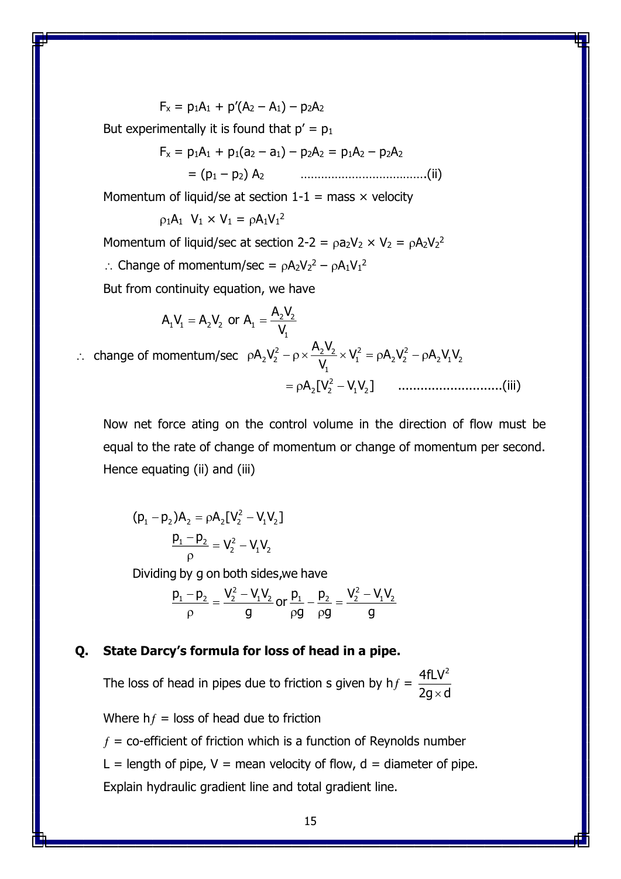$$
F_x = p_1 A_1 + p'(A_2 - A_1) - p_2 A_2
$$

But experimentally it is found that  $p' = p_1$ 

$$
F_x = p_1 A_1 + p_1 (a_2 - a_1) - p_2 A_2 = p_1 A_2 - p_2 A_2
$$
  
= (p<sub>1</sub> - p<sub>2</sub>) A<sub>2</sub> (ii)

Momentum of liquid/se at section  $1-1 = \text{mass} \times \text{velocity}$ 

$$
\rho_1 A_1 \ \mathsf{V}_1 \times \mathsf{V}_1 = \rho A_1 \mathsf{V}_1{}^2
$$

Momentum of liquid/sec at section 2-2 =  $\rho a_2 V_2 \times V_2 = \rho A_2 V_2^2$ 

 $\therefore$  Change of momentum/sec =  $\rho A_2 V_2^2 - \rho A_1 V_1^2$ 

But from continuity equation, we have

2 2 1 1 2 2 1 1 <sup>A</sup> <sup>V</sup> <sup>A</sup> <sup>V</sup> <sup>A</sup> <sup>V</sup> or <sup>A</sup> V change of momentum/sec 2 2 2 2 2 2 2 1 2 2 2 1 2 1 2 2 2 1 2 <sup>A</sup> <sup>V</sup> <sup>A</sup> <sup>V</sup> V A V A V V V A [V V V ] ............................(iii) 

Now net force ating on the control volume in the direction of flow must be equal to the rate of change of momentum or change of momentum per second. Hence equating (ii) and (iii)

2  $(p_1 - p_2)A_2 = pA_2[V_2^2 - V_1V_2]$  $P_1 - P_2 = V_2^2 - V_1 V_2$ ρ

Dividing by g on both sides,we have

$$
\frac{p_1-p_2}{\rho}=\frac{V_2^2-V_1V_2}{g}\,or\,\frac{p_1}{\rho g}-\frac{p_2}{\rho g}=\frac{V_2^2-V_1V_2}{g}
$$

### **Q. State Darcy's formula for loss of head in a pipe.**

The loss of head in pipes due to friction s given by  $hf =$  $4$ fLV $^2$ 2g $\times$ d

Where  $hf =$  loss of head due to friction

 $f =$  co-efficient of friction which is a function of Reynolds number

L = length of pipe,  $V$  = mean velocity of flow,  $d$  = diameter of pipe.

Explain hydraulic gradient line and total gradient line.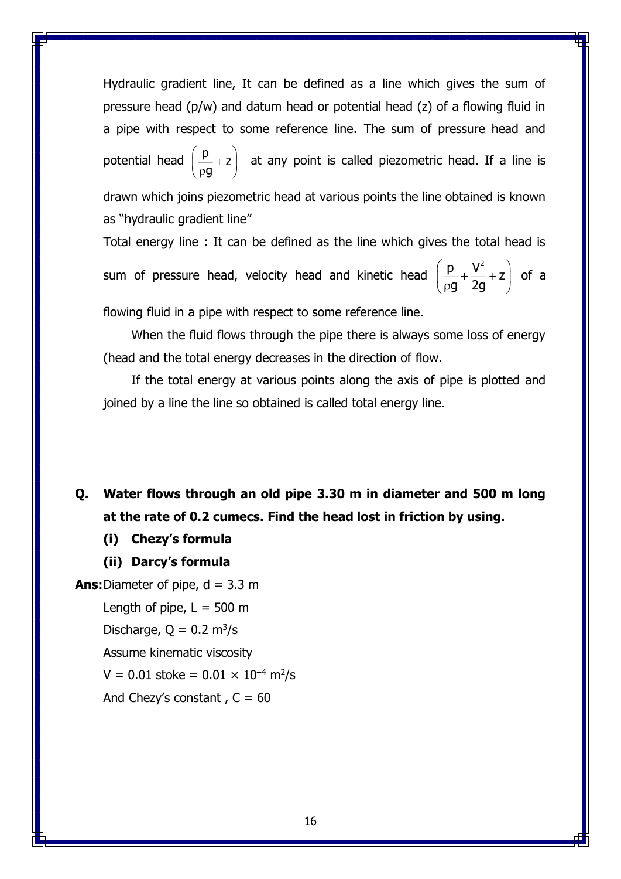Hydraulic gradient line, It can be defined as a line which gives the sum of pressure head (p/w) and datum head or potential head (z) of a flowing fluid in a pipe with respect to some reference line. The sum of pressure head and potential head  $\left(\frac{\mathsf{p}}{\mathsf{p}}\right)_{+}$ z g  $(p)$  $\left(\frac{P}{\rho g}+z\right)$  at any point is called piezometric head. If a line is drawn which joins piezometric head at various points the line obtained is known as "hydraulic gradient line"

Total energy line : It can be defined as the line which gives the total head is sum of pressure head, velocity head and kinetic head  $\frac{p}{pq} + \frac{V^2}{2g} + z$  $\left(\frac{p}{p} + \frac{V^2}{2p} + Z\right)$ (p**g** 2g *)* of a

flowing fluid in a pipe with respect to some reference line.

When the fluid flows through the pipe there is always some loss of energy (head and the total energy decreases in the direction of flow.

If the total energy at various points along the axis of pipe is plotted and joined by a line the line so obtained is called total energy line.

**Q. Water flows through an old pipe 3.30 m in diameter and 500 m long at the rate of 0.2 cumecs. Find the head lost in friction by using.**

- **(i) Chezy's formula**
- **(ii) Darcy's formula**

**Ans:** Diameter of pipe,  $d = 3.3$  m Length of pipe,  $L = 500$  m Discharge,  $Q = 0.2$  m<sup>3</sup>/s Assume kinematic viscosity  $V = 0.01$  stoke =  $0.01 \times 10^{-4}$  m<sup>2</sup>/s And Chezy's constant,  $C = 60$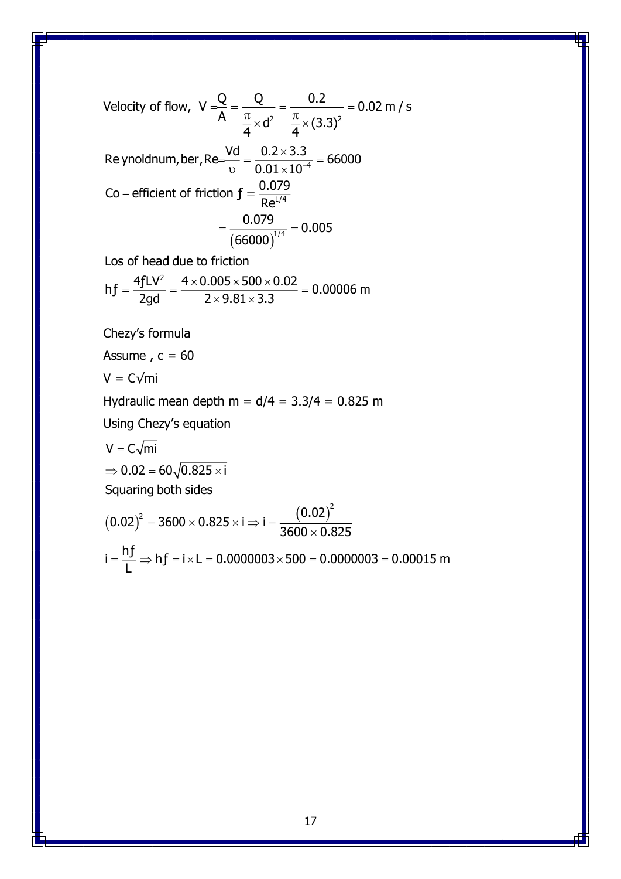Velocity of flow, 
$$
V = \frac{Q}{A} = \frac{Q}{\frac{\pi}{4} \times d^2} = \frac{0.2}{\frac{\pi}{4} \times (3.3)^2} = 0.02 \text{ m/s}
$$
  
\nRe ynoldnum, ber, Re $= \frac{Vd}{v} = \frac{0.2 \times 3.3}{0.01 \times 10^{-4}} = 66000$   
\nCo – efficient of friction  $f = \frac{0.079}{Re^{1/4}}$   
\n $= \frac{0.079}{(66000)^{1/4}} = 0.005$   
\nLos of head due to friction  
\nhf  $= \frac{4fLV^2}{2gd} = \frac{4 \times 0.005 \times 500 \times 0.02}{2 \times 9.81 \times 3.3} = 0.00006 \text{ m}$   
\nChezy's formula  
\nAssume, c = 60  
\nV = C/min  
\nHydraulic mean depth m = d/4 = 3.3/4 = 0.825 m  
\nUsing Chezy's equation  
\n $V = C\sqrt{\text{mi}}$   
\n $\Rightarrow 0.02 = 60\sqrt{0.825 \times 1}$ 

Squaring both sides

$$
(0.02)^{2} = 3600 \times 0.825 \times i \Rightarrow i = \frac{(0.02)^{2}}{3600 \times 0.825}
$$
  
i =  $\frac{hf}{L}$   $\Rightarrow$  hf = i × L = 0.0000003 × 500 = 0.0000003 = 0.00015 m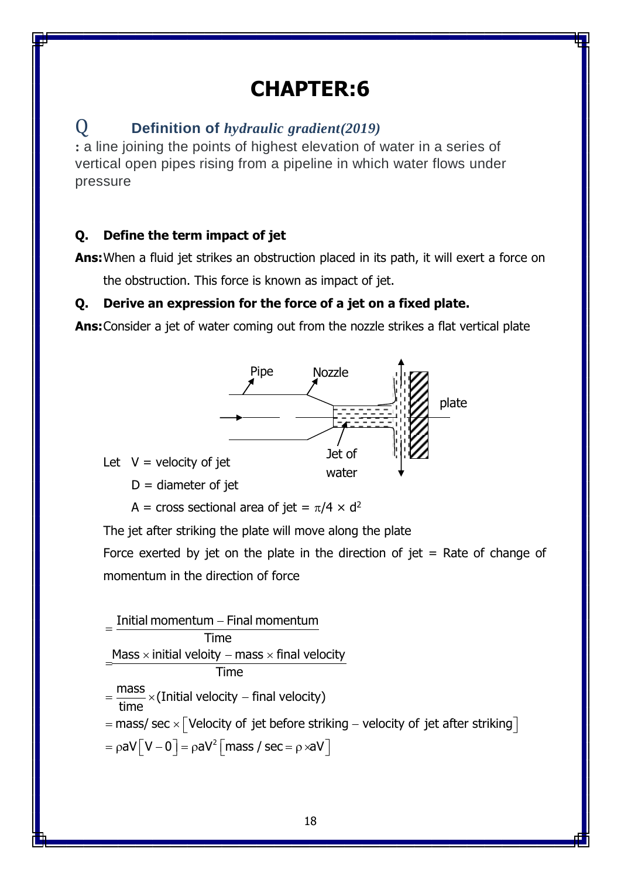# **CHAPTER:6**

# Q **Definition of** *hydraulic gradient(2019)*

**:** a line joining the points of highest elevation of water in a series of vertical open pipes rising from a pipeline in which water flows under pressure

## **Q. Define the term impact of jet**

**Ans:**When a fluid jet strikes an obstruction placed in its path, it will exert a force on

the obstruction. This force is known as impact of jet.

## **Q. Derive an expression for the force of a jet on a fixed plate.**

**Ans:**Consider a jet of water coming out from the nozzle strikes a flat vertical plate



Let  $V =$  velocity of jet

 $D =$  diameter of jet

A = cross sectional area of jet =  $\pi/4 \times d^2$ 

The jet after striking the plate will move along the plate

Force exerted by jet on the plate in the direction of jet  $=$  Rate of change of momentum in the direction of force

Initial momentum – Final momentum<br>Initial momentum – Final momentum Time  $=\frac{\text{Initial momentum} - \text{Final momentum}}{\text{Time}}$ <br> $\frac{\text{Mass} \times \text{initial velocity} - \text{mass} \times \text{final velocity}}{\text{Time}}$ Time  $\frac{\text{Mass} \times \text{initial velocity} - \text{mass} \times \text{final velo}}{\text{Time}}$ <br>=  $\frac{\text{mass}}{\text{time}} \times (\text{Initial velocity} - \text{final velocity})$ mass<br>  $\frac{\text{mass}}{\text{time}} \times$ (Initial velocity – final velocity)<br>
mass/ sec  $\times$  [Velocity of jet before striking – velocity of jet after striking  $\frac{1}{2}$  × (Initial vertical)<br>hass/sec × [Vel<br>aV [V - 0] = pa  $\overline{a}$  $=$  $Hme$ <br>=  $\frac{mass}{time} \times (Initial velocity - final velocity)$ <br>= mass/ sec  $\times$  [Velocity of jet before striking – velocity of jet after striking] =  $\frac{2000 \times 1000 \text{ m/s}}{200 \text{ km/s}}$  = mass/ sec  $\times$  [Velocity of jet before striking – velocity<br>=  $\text{paV}$ [V – 0] =  $\text{paV}^2$ [mass / sec =  $\text{p} \times \text{aV}$ ]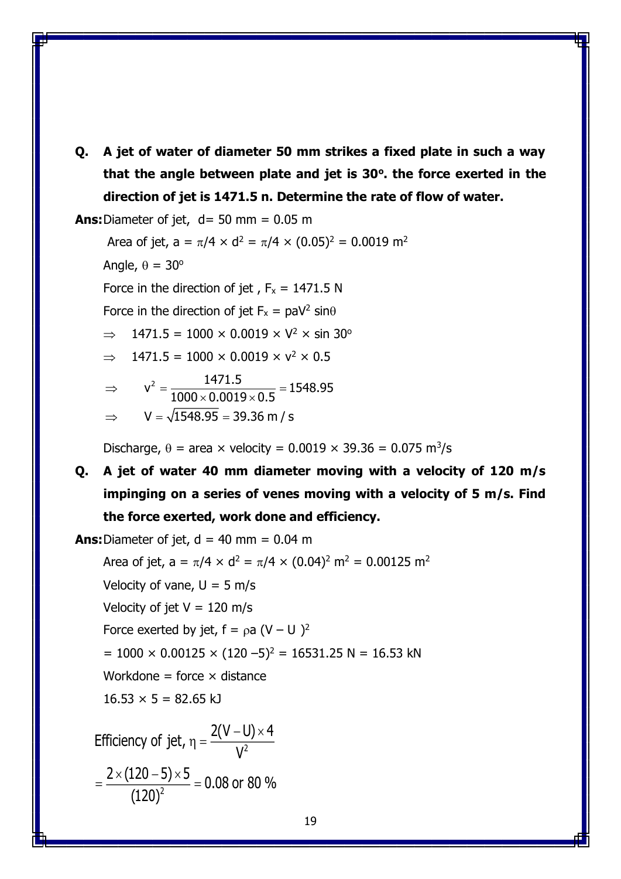**Q. A jet of water of diameter 50 mm strikes a fixed plate in such a way that the angle between plate and jet is 30<sup>o</sup> . the force exerted in the direction of jet is 1471.5 n. Determine the rate of flow of water.**

**Ans:**Diameter of jet,  $d = 50$  mm  $= 0.05$  m

Area of jet,  $a = \pi/4 \times d^2 = \pi/4 \times (0.05)^2 = 0.0019$  m<sup>2</sup>

Angle,  $\theta = 30^\circ$ 

(120)

= —————<del>\_\_</del> =

Force in the direction of jet,  $F_x = 1471.5 N$ 

Force in the direction of jet  $F_x = \text{paV}^2 \sin\theta$ 

 $\implies$  1471.5 = 1000 × 0.0019 × V<sup>2</sup> × sin 30<sup>o</sup>

$$
\Rightarrow
$$
 1471.5 = 1000 × 0.0019 × v<sup>2</sup> × 0.5

$$
\Rightarrow \quad v^2 = \frac{1471.5}{1000 \times 0.0019 \times 0.5} = 1548.95
$$

$$
\Rightarrow \quad V = \sqrt{1548.95} = 39.36 \text{ m/s}
$$

$$
f_{\rm{max}}(x)
$$

Discharge,  $\theta$  = area  $\times$  velocity = 0.0019  $\times$  39.36 = 0.075 m<sup>3</sup>/s

**Q. A jet of water 40 mm diameter moving with a velocity of 120 m/s impinging on a series of venes moving with a velocity of 5 m/s. Find the force exerted, work done and efficiency.**

**Ans:** Diameter of jet,  $d = 40$  mm =  $0.04$  m Area of jet,  $a = \pi/4 \times d^2 = \pi/4 \times (0.04)^2$  m<sup>2</sup> = 0.00125 m<sup>2</sup> Velocity of vane,  $U = 5$  m/s Velocity of jet  $V = 120$  m/s Force exerted by jet,  $f = \rho a (V - U)^2$  $= 1000 \times 0.00125 \times (120 - 5)^2 = 16531.25 N = 16.53 kN$ Workdone = force  $\times$  distance  $16.53 \times 5 = 82.65$  kJ Efficiency of jet,  $\eta = \frac{2(V-U) \times 4}{V^2}$  $\frac{2\times(120-5)\times 5}{(120)^2}$  = 0.08 or 80 % V – U) ×  $\eta$  = x(1ZU–5)x

19